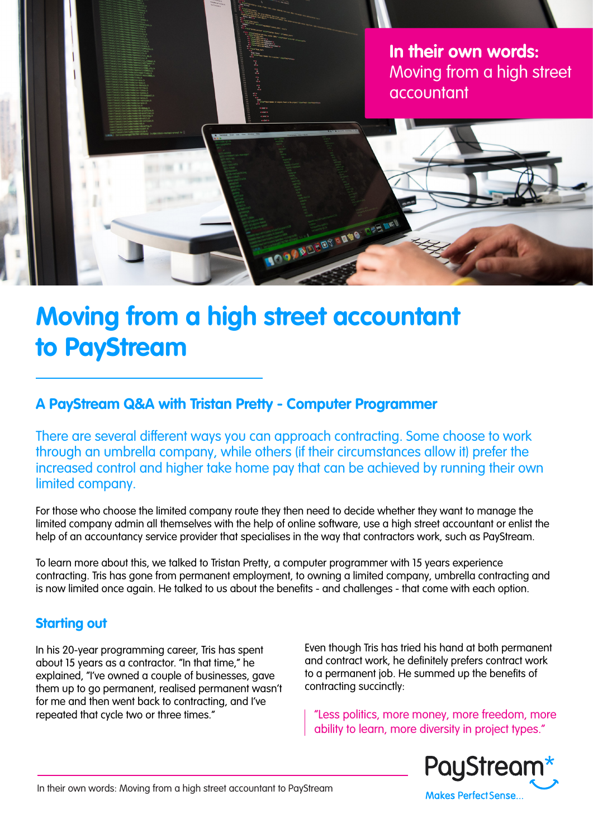

# **Moving from a high street accountant to PayStream**

# **A PayStream Q&A with Tristan Pretty - Computer Programmer**

There are several different ways you can approach contracting. Some choose to work through an umbrella company, while others (if their circumstances allow it) prefer the increased control and higher take home pay that can be achieved by running their own limited company.

For those who choose the limited company route they then need to decide whether they want to manage the limited company admin all themselves with the help of online software, use a high street accountant or enlist the help of an accountancy service provider that specialises in the way that contractors work, such as PayStream.

To learn more about this, we talked to Tristan Pretty, a computer programmer with 15 years experience contracting. Tris has gone from permanent employment, to owning a limited company, umbrella contracting and is now limited once again. He talked to us about the benefits - and challenges - that come with each option.

#### **Starting out**

In his 20-year programming career, Tris has spent about 15 years as a contractor. "In that time," he explained, "I've owned a couple of businesses, gave them up to go permanent, realised permanent wasn't for me and then went back to contracting, and I've repeated that cycle two or three times."

Even though Tris has tried his hand at both permanent and contract work, he definitely prefers contract work to a permanent job. He summed up the benefits of contracting succinctly:

"Less politics, more money, more freedom, more ability to learn, more diversity in project types."